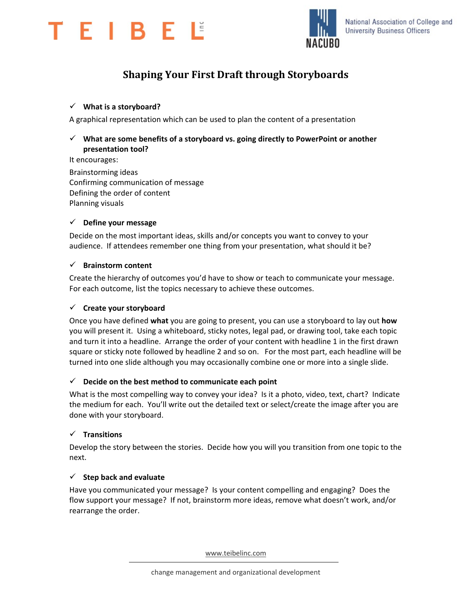



# **Shaping Your First Draft through Storyboards**

## **What is a storyboard?**

A graphical representation which can be used to plan the content of a presentation

# **What are some benefits of a storyboard vs. going directly to PowerPoint or another presentation tool?**

It encourages: Brainstorming ideas Confirming communication of message Defining the order of content Planning visuals

### **Define your message**

Decide on the most important ideas, skills and/or concepts you want to convey to your audience. If attendees remember one thing from your presentation, what should it be?

#### **Brainstorm content**

Create the hierarchy of outcomes you'd have to show or teach to communicate your message. For each outcome, list the topics necessary to achieve these outcomes.

### **Create your storyboard**

Once you have defined **what** you are going to present, you can use a storyboard to lay out **how** you will present it. Using a whiteboard, sticky notes, legal pad, or drawing tool, take each topic and turn it into a headline. Arrange the order of your content with headline 1 in the first drawn square or sticky note followed by headline 2 and so on. For the most part, each headline will be turned into one slide although you may occasionally combine one or more into a single slide.

#### **Decide on the best method to communicate each point**

What is the most compelling way to convey your idea? Is it a photo, video, text, chart? Indicate the medium for each. You'll write out the detailed text or select/create the image after you are done with your storyboard.

## **Transitions**

Develop the story between the stories. Decide how you will you transition from one topic to the next.

#### $\checkmark$  Step back and evaluate

Have you communicated your message? Is your content compelling and engaging? Does the flow support your message? If not, brainstorm more ideas, remove what doesn't work, and/or rearrange the order.

www.teibelinc.com